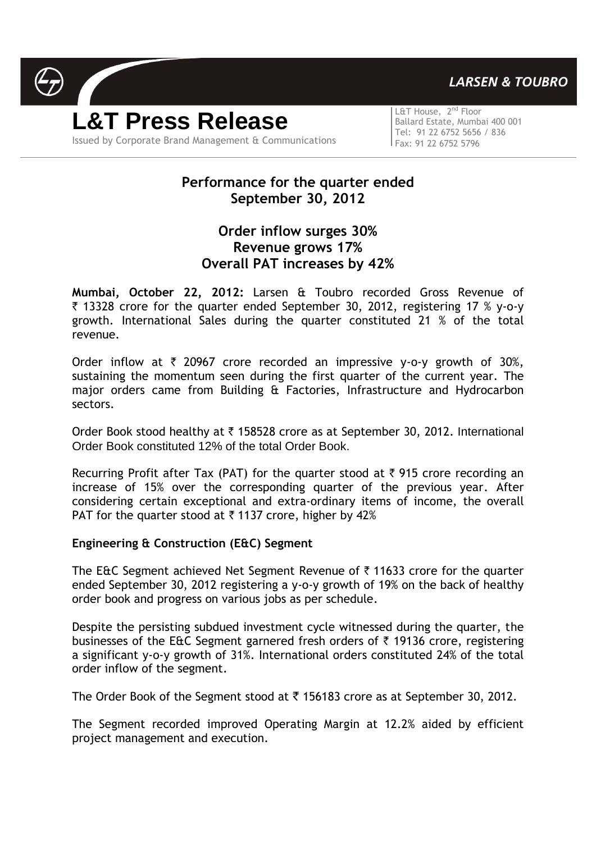**LARSEN & TOUBRO** 



L&T House, 2<sup>nd</sup> Floor Ballard Estate, Mumbai 400 001 Tel: 91 22 6752 5656 / 836 Fax: 91 22 6752 5796

# **Performance for the quarter ended September 30, 2012**

# **Order inflow surges 30% Revenue grows 17% Overall PAT increases by 42%**

**Mumbai, October 22, 2012:** Larsen & Toubro recorded Gross Revenue of  $\bar{\tau}$  13328 crore for the quarter ended September 30, 2012, registering 17 % y-o-y growth. International Sales during the quarter constituted 21 % of the total revenue.

Order inflow at  $\bar{\tau}$  20967 crore recorded an impressive y-o-y growth of 30%, sustaining the momentum seen during the first quarter of the current year. The major orders came from Building & Factories, Infrastructure and Hydrocarbon sectors.

Order Book stood healthy at  $\bar{\tau}$  158528 crore as at September 30, 2012. International Order Book constituted 12% of the total Order Book.

Recurring Profit after Tax (PAT) for the quarter stood at  $\bar{\tau}$  915 crore recording an increase of 15% over the corresponding quarter of the previous year. After considering certain exceptional and extra-ordinary items of income, the overall PAT for the quarter stood at  $\bar{\tau}$  1137 crore, higher by 42%

## **Engineering & Construction (E&C) Segment**

The E&C Segment achieved Net Segment Revenue of  $\bar{\tau}$  11633 crore for the quarter ended September 30, 2012 registering a y-o-y growth of 19% on the back of healthy order book and progress on various jobs as per schedule.

Despite the persisting subdued investment cycle witnessed during the quarter, the businesses of the E&C Segment garnered fresh orders of  $\bar{\tau}$  19136 crore, registering a significant y-o-y growth of 31%. International orders constituted 24% of the total order inflow of the segment.

The Order Book of the Segment stood at  $\bar{\tau}$  156183 crore as at September 30, 2012.

The Segment recorded improved Operating Margin at 12.2% aided by efficient project management and execution.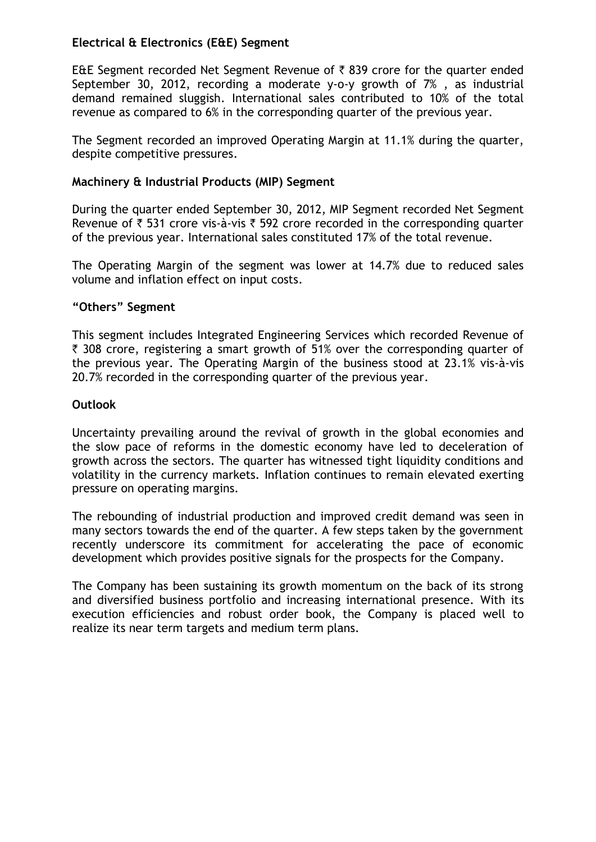### **Electrical & Electronics (E&E) Segment**

E&E Segment recorded Net Segment Revenue of  $\bar{\tau}$  839 crore for the quarter ended September 30, 2012, recording a moderate y-o-y growth of 7% , as industrial demand remained sluggish. International sales contributed to 10% of the total revenue as compared to 6% in the corresponding quarter of the previous year.

The Segment recorded an improved Operating Margin at 11.1% during the quarter, despite competitive pressures.

## **Machinery & Industrial Products (MIP) Segment**

During the quarter ended September 30, 2012, MIP Segment recorded Net Segment Revenue of  $\bar{\tau}$  531 crore vis-à-vis  $\bar{\tau}$  592 crore recorded in the corresponding quarter of the previous year. International sales constituted 17% of the total revenue.

The Operating Margin of the segment was lower at 14.7% due to reduced sales volume and inflation effect on input costs.

### **"Others" Segment**

This segment includes Integrated Engineering Services which recorded Revenue of ₹ 308 crore, registering a smart growth of 51% over the corresponding quarter of the previous year. The Operating Margin of the business stood at 23.1% vis-à-vis 20.7% recorded in the corresponding quarter of the previous year.

#### **Outlook**

Uncertainty prevailing around the revival of growth in the global economies and the slow pace of reforms in the domestic economy have led to deceleration of growth across the sectors. The quarter has witnessed tight liquidity conditions and volatility in the currency markets. Inflation continues to remain elevated exerting pressure on operating margins.

The rebounding of industrial production and improved credit demand was seen in many sectors towards the end of the quarter. A few steps taken by the government recently underscore its commitment for accelerating the pace of economic development which provides positive signals for the prospects for the Company.

The Company has been sustaining its growth momentum on the back of its strong and diversified business portfolio and increasing international presence. With its execution efficiencies and robust order book, the Company is placed well to realize its near term targets and medium term plans.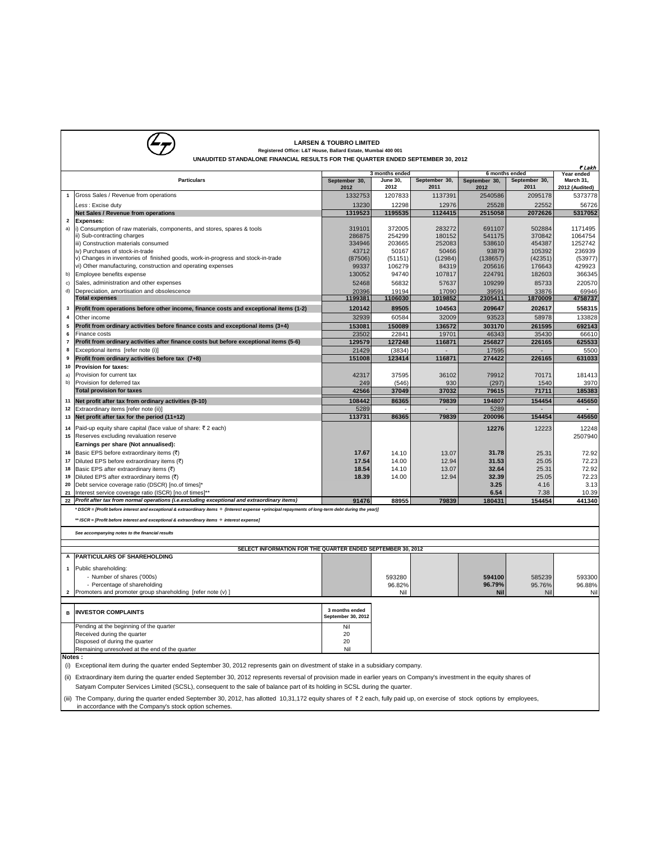#### **LARSEN & TOUBRO LIMITED Registered Office: L&T House, Ballard Estate, Mumbai 400 001**

**UNAUDITED STANDALONE FINANCIAL RESULTS FOR THE QUARTER ENDED SEPTEMBER 30, 2012**

|                         |                                                                                                                                                                            |                    |                                   |               |               |                                 | ₹ Lakh                  |
|-------------------------|----------------------------------------------------------------------------------------------------------------------------------------------------------------------------|--------------------|-----------------------------------|---------------|---------------|---------------------------------|-------------------------|
|                         | <b>Particulars</b>                                                                                                                                                         | September 30,      | 3 months ended<br><b>June 30,</b> | September 30, | September 30, | 6 months ended<br>September 30, | Year ended<br>March 31. |
|                         |                                                                                                                                                                            | 2012               | 2012                              | 2011          | 2012          | 2011                            | 2012 (Audited)          |
| $\mathbf{1}$            | Gross Sales / Revenue from operations                                                                                                                                      | 1332753            | 1207833                           | 1137391       | 2540586       | 2095178                         | 5373778                 |
|                         | Less: Excise duty                                                                                                                                                          | 13230              | 12298                             | 12976         | 25528         | 22552                           | 56726                   |
|                         | Net Sales / Revenue from operations                                                                                                                                        | 1319523            | 1195535                           | 1124415       | 2515058       | 2072626                         | 5317052                 |
| $\overline{\mathbf{2}}$ | <b>Expenses:</b>                                                                                                                                                           |                    |                                   |               |               |                                 |                         |
| a)                      | i) Consumption of raw materials, components, and stores, spares & tools                                                                                                    | 319101             | 372005                            | 283272        | 691107        | 502884                          | 1171495                 |
|                         | ii) Sub-contracting charges                                                                                                                                                | 286875             | 254299                            | 180152        | 541175        | 370842                          | 1064754                 |
|                         | iii) Construction materials consumed                                                                                                                                       | 334946             | 203665                            | 252083        | 538610        | 454387                          | 1252742                 |
|                         | iv) Purchases of stock-in-trade                                                                                                                                            | 43712              | 50167                             | 50466         | 93879         | 105392                          | 236939                  |
|                         | v) Changes in inventories of finished goods, work-in-progress and stock-in-trade                                                                                           | (87506)            | (51151)                           | (12984)       | (138657)      | (42351)                         | (53977)                 |
|                         | vi) Other manufacturing, construction and operating expenses                                                                                                               | 99337              | 106279                            | 84319         | 205616        | 176643                          | 429923                  |
| b)                      | Employee benefits expense                                                                                                                                                  | 130052             | 94740                             | 107817        | 224791        | 182603                          | 366345                  |
| c)                      | Sales, administration and other expenses                                                                                                                                   | 52468              | 56832                             | 57637         | 109299        | 85733                           | 220570                  |
| d)                      | Depreciation, amortisation and obsolescence                                                                                                                                | 20396              | 19194                             | 17090         | 39591         | 33876                           | 69946                   |
|                         | <b>Total expenses</b>                                                                                                                                                      | 1199381            | 1106030                           | 1019852       | 2305411       | 1870009                         | 4758737                 |
| $\mathbf{3}$            | Profit from operations before other income, finance costs and exceptional items (1-2)                                                                                      | 120142             | 89505                             | 104563        | 209647        | 202617                          | 558315                  |
| $\pmb{4}$               | Other income                                                                                                                                                               | 32939              | 60584                             | 32009         | 93523         | 58978                           | 133828                  |
| 5                       | Profit from ordinary activities before finance costs and exceptional items (3+4)                                                                                           | 153081             | 150089                            | 136572        | 303170        | 261595                          | 692143                  |
| 6                       | Finance costs                                                                                                                                                              | 23502              | 22841                             | 19701         | 46343         | 35430                           | 66610                   |
| $\overline{\mathbf{r}}$ | Profit from ordinary activities after finance costs but before exceptional items (5-6)                                                                                     | 129579             | 127248                            | 116871        | 256827        | 226165                          | 625533                  |
| 8                       | Exceptional items [refer note (i)]                                                                                                                                         | 21429              | (3834)                            |               | 17595         |                                 | 5500                    |
|                         | Profit from ordinary activities before tax (7+8)                                                                                                                           |                    |                                   |               | 274422        |                                 |                         |
| $\boldsymbol{9}$        |                                                                                                                                                                            | 151008             | 123414                            | 116871        |               | 226165                          | 631033                  |
| 10                      | Provision for taxes:                                                                                                                                                       |                    |                                   |               |               |                                 |                         |
| a)                      | Provision for current tax                                                                                                                                                  | 42317              | 37595                             | 36102         | 79912         | 70171                           | 181413                  |
| b)                      | Provision for deferred tax                                                                                                                                                 | 249                | (546)                             | 930           | (297)         | 1540                            | 3970                    |
|                         | <b>Total provision for taxes</b>                                                                                                                                           | 42566              | 37049                             | 37032         | 79615         | 71711                           | 185383                  |
| 11                      | Net profit after tax from ordinary activities (9-10)                                                                                                                       | 108442             | 86365                             | 79839         | 194807        | 154454                          | 445650                  |
| 12                      | Extraordinary items [refer note (ii)]                                                                                                                                      | 5289               |                                   |               | 5289          |                                 |                         |
| 13                      | Net profit after tax for the period (11+12)                                                                                                                                | 113731             | 86365                             | 79839         | 200096        | 154454                          | 445650                  |
| 14                      | Paid-up equity share capital (face value of share: ₹ 2 each)                                                                                                               |                    |                                   |               | 12276         | 12223                           | 12248                   |
| 15                      | Reserves excluding revaluation reserve                                                                                                                                     |                    |                                   |               |               |                                 | 2507940                 |
|                         | Earnings per share (Not annualised):                                                                                                                                       |                    |                                   |               |               |                                 |                         |
| 16                      |                                                                                                                                                                            |                    |                                   |               |               |                                 |                         |
|                         | Basic EPS before extraordinary items (₹)                                                                                                                                   | 17.67              | 14.10                             | 13.07         | 31.78         | 25.31                           | 72.92                   |
| 17                      | Diluted EPS before extraordinary items (₹)                                                                                                                                 | 17.54              | 14.00                             | 12.94         | 31.53         | 25.05                           | 72.23                   |
| 18                      | Basic EPS after extraordinary items (₹)                                                                                                                                    | 18.54              | 14.10                             | 13.07         | 32.64         | 25.31                           | 72.92                   |
| 19                      | Diluted EPS after extraordinary items (₹)                                                                                                                                  | 18.39              | 14.00                             | 12.94         | 32.39         | 25.05                           | 72.23                   |
| 20                      | Debt service coverage ratio (DSCR) [no.of times]*                                                                                                                          |                    |                                   |               | 3.25          | 4.16                            | 3.13                    |
| 21                      | Interest service coverage ratio (ISCR) [no.of times]**                                                                                                                     |                    |                                   |               | 6.54          | 7.38                            | 10.39                   |
|                         | 22 Profit after tax from normal operations (i.e.excluding exceptional and extraordinary items)                                                                             | 91476              | 88955                             | 79839         | 180431        | 154454                          | 441340                  |
|                         | * DSCR = [Profit before interest and exceptional & extraordinary items $\div$ (Interest expense +principal repayments of long-term debt during the year)]                  |                    |                                   |               |               |                                 |                         |
|                         | ** ISCR = [Profit before interest and exceptional & extraordinary items ÷ interest expense]                                                                                |                    |                                   |               |               |                                 |                         |
|                         |                                                                                                                                                                            |                    |                                   |               |               |                                 |                         |
|                         | See accompanying notes to the financial results                                                                                                                            |                    |                                   |               |               |                                 |                         |
|                         |                                                                                                                                                                            |                    |                                   |               |               |                                 |                         |
|                         | SELECT INFORMATION FOR THE QUARTER ENDED SEPTEMBER 30, 2012                                                                                                                |                    |                                   |               |               |                                 |                         |
| А                       | <b>PARTICULARS OF SHAREHOLDING</b>                                                                                                                                         |                    |                                   |               |               |                                 |                         |
| $\mathbf{1}$            | Public shareholding:                                                                                                                                                       |                    |                                   |               |               |                                 |                         |
|                         | - Number of shares ('000s)                                                                                                                                                 |                    | 593280                            |               | 594100        | 585239                          | 593300                  |
|                         | - Percentage of shareholding                                                                                                                                               |                    | 96.82%                            |               | 96.79%        | 95.76%                          | 96.88%                  |
| $\overline{\mathbf{2}}$ | Promoters and promoter group shareholding [refer note (v) ]                                                                                                                |                    | Nil                               |               | Nil           | Nil                             | Nil                     |
|                         |                                                                                                                                                                            |                    |                                   |               |               |                                 |                         |
|                         |                                                                                                                                                                            | 3 months ended     |                                   |               |               |                                 |                         |
| в                       | <b>INVESTOR COMPLAINTS</b>                                                                                                                                                 | September 30, 2012 |                                   |               |               |                                 |                         |
|                         |                                                                                                                                                                            | Nil                |                                   |               |               |                                 |                         |
|                         | Pending at the beginning of the quarter<br>Received during the quarter                                                                                                     | 20                 |                                   |               |               |                                 |                         |
|                         | Disposed of during the quarter                                                                                                                                             | 20                 |                                   |               |               |                                 |                         |
|                         | Remaining unresolved at the end of the quarter                                                                                                                             | Nil                |                                   |               |               |                                 |                         |
| Notes:                  |                                                                                                                                                                            |                    |                                   |               |               |                                 |                         |
|                         |                                                                                                                                                                            |                    |                                   |               |               |                                 |                         |
|                         | (i) Exceptional item during the quarter ended September 30, 2012 represents gain on divestment of stake in a subsidiary company.                                           |                    |                                   |               |               |                                 |                         |
|                         | (ii) Extraordinary item during the quarter ended September 30, 2012 represents reversal of provision made in earlier years on Company's investment in the equity shares of |                    |                                   |               |               |                                 |                         |
|                         | Satyam Computer Services Limited (SCSL), consequent to the sale of balance part of its holding in SCSL during the quarter.                                                 |                    |                                   |               |               |                                 |                         |

(iii) The Company, during the quarter ended September 30, 2012, has allotted 10,31,172 equity shares of ₹2 each, fully paid up, on exercise of stock options by employees,<br>in accordance with the Company's stock option sche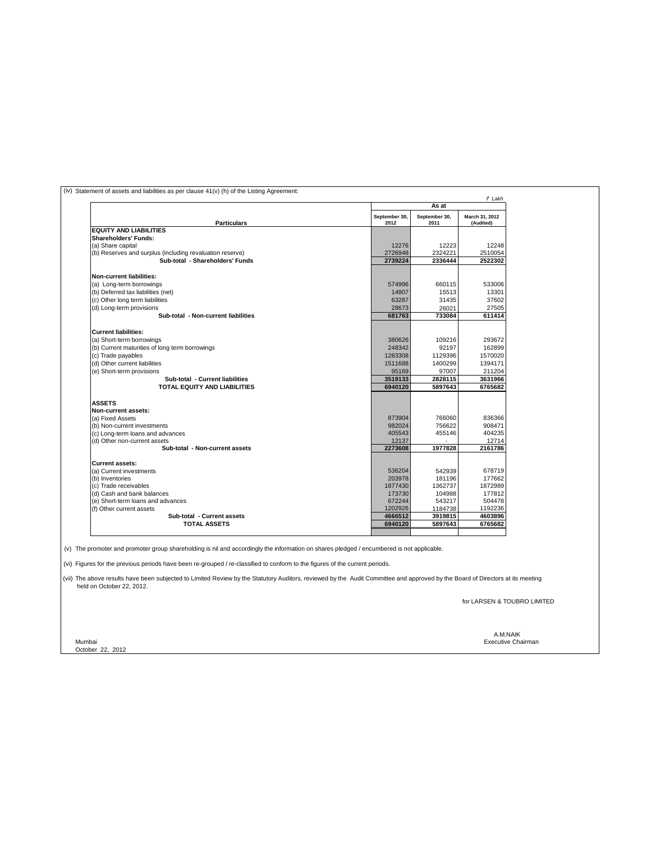|                                                          |                       | As at                 |                             |  |  |
|----------------------------------------------------------|-----------------------|-----------------------|-----------------------------|--|--|
| <b>Particulars</b>                                       | September 30,<br>2012 | September 30,<br>2011 | March 31, 2012<br>(Audited) |  |  |
| <b>EQUITY AND LIABILITIES</b>                            |                       |                       |                             |  |  |
| <b>Shareholders' Funds:</b>                              |                       |                       |                             |  |  |
| (a) Share capital                                        | 12276                 | 12223                 | 12248                       |  |  |
| (b) Reserves and surplus (including revaluation reserve) | 2726948               | 2324221               | 2510054                     |  |  |
| Sub-total - Shareholders' Funds                          | 2739224               | 2336444               | 2522302                     |  |  |
| <b>Non-current liabilities:</b>                          |                       |                       |                             |  |  |
| (a) Long-term borrowings                                 | 574996                | 660115                | 533006                      |  |  |
| (b) Deferred tax liabilities (net)                       | 14807                 | 15513                 | 13301                       |  |  |
| (c) Other long term liabilities                          | 63287                 | 31435                 | 37602                       |  |  |
| (d) Long-term provisions                                 | 28673                 | 26021                 | 27505                       |  |  |
| Sub-total - Non-current liabilities                      | 681763                | 733084                | 611414                      |  |  |
| <b>Current liabilities:</b>                              |                       |                       |                             |  |  |
|                                                          |                       |                       |                             |  |  |
| (a) Short-term borrowings                                | 380626                | 109216                | 293672                      |  |  |
| (b) Current maturities of long term borrowings           | 248342                | 92197                 | 162899                      |  |  |
| (c) Trade payables                                       | 1283308               | 1129396               | 1570020                     |  |  |
| (d) Other current liabilities                            | 1511688               | 1400299               | 1394171                     |  |  |
| (e) Short-term provisions                                | 95169                 | 97007                 | 211204                      |  |  |
| Sub-total - Current liabilities                          | 3519133               | 2828115               | 3631966                     |  |  |
| TOTAL EQUITY AND LIABILITIES                             | 6940120               | 5897643               | 6765682                     |  |  |
| <b>ASSETS</b>                                            |                       |                       |                             |  |  |
| Non-current assets:                                      |                       |                       |                             |  |  |
| (a) Fixed Assets                                         | 873904                | 766060                | 836366                      |  |  |
| (b) Non-current investments                              | 982024                | 756622                | 908471                      |  |  |
| (c) Long-term loans and advances                         | 405543                | 455146                | 404235                      |  |  |
| (d) Other non-current assets                             | 12137                 |                       | 12714                       |  |  |
| Sub-total - Non-current assets                           | 2273608               | 1977828               | 2161786                     |  |  |
| <b>Current assets:</b>                                   |                       |                       |                             |  |  |
| (a) Current investments                                  | 536204                | 542939                | 678719                      |  |  |
| (b) Inventories                                          | 203978                | 181196                | 177662                      |  |  |
| (c) Trade receivables                                    | 1877430               | 1362737               | 1872989                     |  |  |
| (d) Cash and bank balances                               | 173730                | 104988                | 177812                      |  |  |
| (e) Short-term loans and advances                        | 672244                | 543217                | 504478                      |  |  |
| (f) Other current assets                                 | 1202926               | 1184738               | 1192236                     |  |  |
| Sub-total - Current assets                               | 4666512               | 3919815               | 4603896                     |  |  |
| <b>TOTAL ASSETS</b>                                      | 6940120               | 5897643               | 6765682                     |  |  |

(v) The promoter and promoter group shareholding is nil and accordingly the information on shares pledged / encumbered is not applicable.

(vi) Figures for the previous periods have been re-grouped / re-classified to conform to the figures of the current periods.

(vii) The above results have been subjected to Limited Review by the Statutory Auditors, reviewed by the Audit Committee and approved by the Board of Directors at its meeting held on October 22, 2012.

for LARSEN & TOUBRO LIMITED

October 22, 2012

 A.M.NAIK Mumbai Executive Chairman